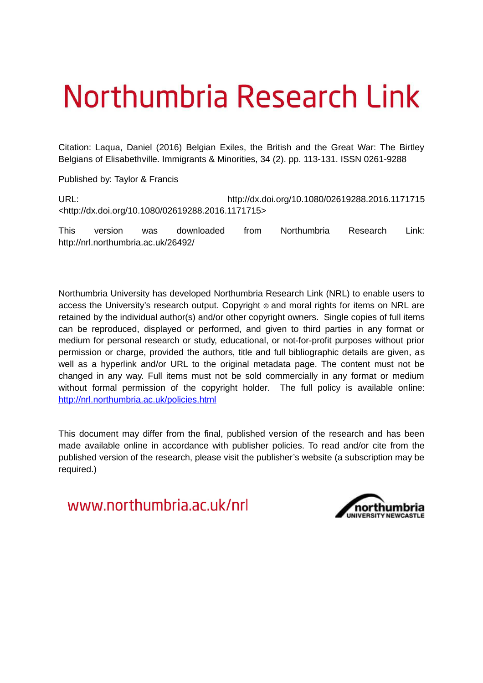# Northumbria Research Link

Citation: Laqua, Daniel (2016) Belgian Exiles, the British and the Great War: The Birtley Belgians of Elisabethville. Immigrants & Minorities, 34 (2). pp. 113-131. ISSN 0261-9288

Published by: Taylor & Francis

URL: http://dx.doi.org/10.1080/02619288.2016.1171715 <http://dx.doi.org/10.1080/02619288.2016.1171715>

This version was downloaded from Northumbria Research Link: http://nrl.northumbria.ac.uk/26492/

Northumbria University has developed Northumbria Research Link (NRL) to enable users to access the University's research output. Copyright  $\circ$  and moral rights for items on NRL are retained by the individual author(s) and/or other copyright owners. Single copies of full items can be reproduced, displayed or performed, and given to third parties in any format or medium for personal research or study, educational, or not-for-profit purposes without prior permission or charge, provided the authors, title and full bibliographic details are given, as well as a hyperlink and/or URL to the original metadata page. The content must not be changed in any way. Full items must not be sold commercially in any format or medium without formal permission of the copyright holder. The full policy is available online: <http://nrl.northumbria.ac.uk/policies.html>

This document may differ from the final, published version of the research and has been made available online in accordance with publisher policies. To read and/or cite from the published version of the research, please visit the publisher's website (a subscription may be required.)

www.northumbria.ac.uk/nrl

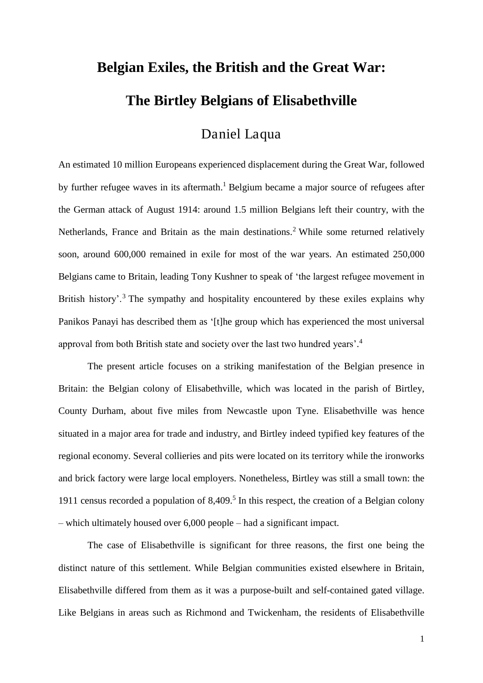## **Belgian Exiles, the British and the Great War: The Birtley Belgians of Elisabethville**

### Daniel Laqua

An estimated 10 million Europeans experienced displacement during the Great War, followed by further refugee waves in its aftermath.<sup>1</sup> Belgium became a major source of refugees after the German attack of August 1914: around 1.5 million Belgians left their country, with the Netherlands, France and Britain as the main destinations.<sup>2</sup> While some returned relatively soon, around 600,000 remained in exile for most of the war years. An estimated 250,000 Belgians came to Britain, leading Tony Kushner to speak of 'the largest refugee movement in British history'.<sup>3</sup> The sympathy and hospitality encountered by these exiles explains why Panikos Panayi has described them as '[t]he group which has experienced the most universal approval from both British state and society over the last two hundred years'.<sup>4</sup>

The present article focuses on a striking manifestation of the Belgian presence in Britain: the Belgian colony of Elisabethville, which was located in the parish of Birtley, County Durham, about five miles from Newcastle upon Tyne. Elisabethville was hence situated in a major area for trade and industry, and Birtley indeed typified key features of the regional economy. Several collieries and pits were located on its territory while the ironworks and brick factory were large local employers. Nonetheless, Birtley was still a small town: the 1911 census recorded a population of 8,409.<sup>5</sup> In this respect, the creation of a Belgian colony – which ultimately housed over 6,000 people – had a significant impact.

The case of Elisabethville is significant for three reasons, the first one being the distinct nature of this settlement. While Belgian communities existed elsewhere in Britain, Elisabethville differed from them as it was a purpose-built and self-contained gated village. Like Belgians in areas such as Richmond and Twickenham, the residents of Elisabethville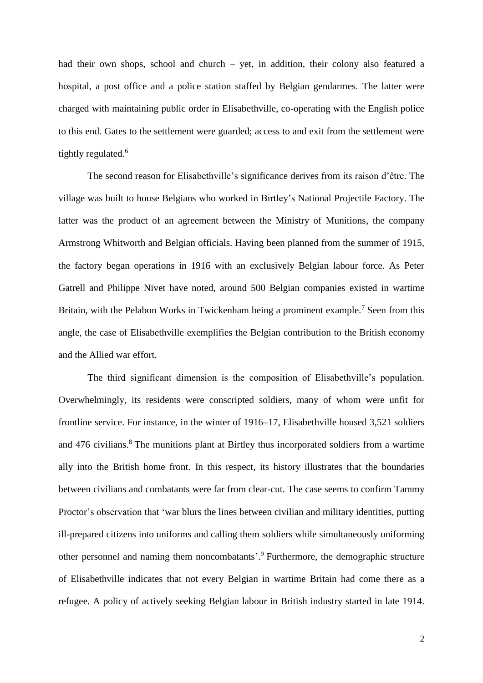had their own shops, school and church – yet, in addition, their colony also featured a hospital, a post office and a police station staffed by Belgian gendarmes. The latter were charged with maintaining public order in Elisabethville, co-operating with the English police to this end. Gates to the settlement were guarded; access to and exit from the settlement were tightly regulated.<sup>6</sup>

The second reason for Elisabethville's significance derives from its raison d'être. The village was built to house Belgians who worked in Birtley's National Projectile Factory. The latter was the product of an agreement between the Ministry of Munitions, the company Armstrong Whitworth and Belgian officials. Having been planned from the summer of 1915, the factory began operations in 1916 with an exclusively Belgian labour force. As Peter Gatrell and Philippe Nivet have noted, around 500 Belgian companies existed in wartime Britain, with the Pelabon Works in Twickenham being a prominent example.<sup>7</sup> Seen from this angle, the case of Elisabethville exemplifies the Belgian contribution to the British economy and the Allied war effort.

The third significant dimension is the composition of Elisabethville's population. Overwhelmingly, its residents were conscripted soldiers, many of whom were unfit for frontline service. For instance, in the winter of 1916–17, Elisabethville housed 3,521 soldiers and 476 civilians.<sup>8</sup> The munitions plant at Birtley thus incorporated soldiers from a wartime ally into the British home front. In this respect, its history illustrates that the boundaries between civilians and combatants were far from clear-cut. The case seems to confirm Tammy Proctor's observation that 'war blurs the lines between civilian and military identities, putting ill-prepared citizens into uniforms and calling them soldiers while simultaneously uniforming other personnel and naming them noncombatants'. 9 Furthermore, the demographic structure of Elisabethville indicates that not every Belgian in wartime Britain had come there as a refugee. A policy of actively seeking Belgian labour in British industry started in late 1914.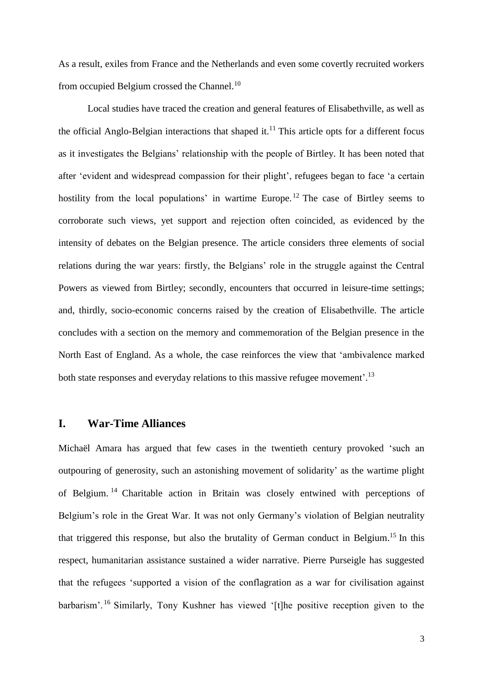As a result, exiles from France and the Netherlands and even some covertly recruited workers from occupied Belgium crossed the Channel.<sup>10</sup>

Local studies have traced the creation and general features of Elisabethville, as well as the official Anglo-Belgian interactions that shaped it.<sup>11</sup> This article opts for a different focus as it investigates the Belgians' relationship with the people of Birtley. It has been noted that after 'evident and widespread compassion for their plight', refugees began to face 'a certain hostility from the local populations' in wartime Europe.<sup>12</sup> The case of Birtley seems to corroborate such views, yet support and rejection often coincided, as evidenced by the intensity of debates on the Belgian presence. The article considers three elements of social relations during the war years: firstly, the Belgians' role in the struggle against the Central Powers as viewed from Birtley; secondly, encounters that occurred in leisure-time settings; and, thirdly, socio-economic concerns raised by the creation of Elisabethville. The article concludes with a section on the memory and commemoration of the Belgian presence in the North East of England. As a whole, the case reinforces the view that 'ambivalence marked both state responses and everyday relations to this massive refugee movement'.<sup>13</sup>

#### **I. War-Time Alliances**

Michaël Amara has argued that few cases in the twentieth century provoked 'such an outpouring of generosity, such an astonishing movement of solidarity' as the wartime plight of Belgium. <sup>14</sup> Charitable action in Britain was closely entwined with perceptions of Belgium's role in the Great War. It was not only Germany's violation of Belgian neutrality that triggered this response, but also the brutality of German conduct in Belgium.<sup>15</sup> In this respect, humanitarian assistance sustained a wider narrative. Pierre Purseigle has suggested that the refugees 'supported a vision of the conflagration as a war for civilisation against barbarism'. <sup>16</sup> Similarly, Tony Kushner has viewed '[t]he positive reception given to the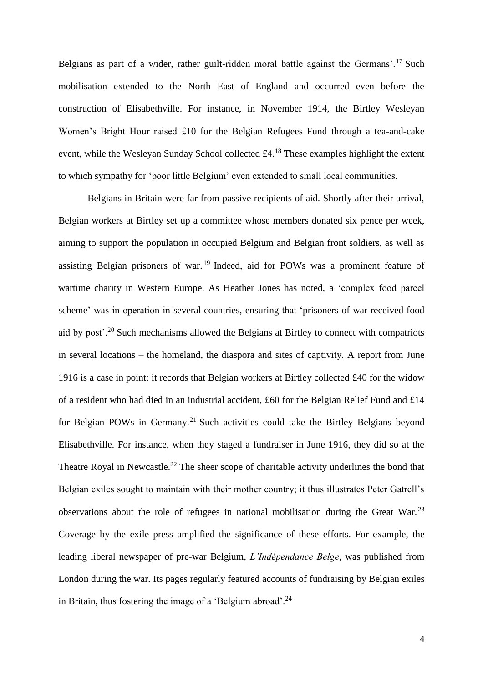Belgians as part of a wider, rather guilt-ridden moral battle against the Germans'.<sup>17</sup> Such mobilisation extended to the North East of England and occurred even before the construction of Elisabethville. For instance, in November 1914, the Birtley Wesleyan Women's Bright Hour raised £10 for the Belgian Refugees Fund through a tea-and-cake event, while the Wesleyan Sunday School collected £4.<sup>18</sup> These examples highlight the extent to which sympathy for 'poor little Belgium' even extended to small local communities.

Belgians in Britain were far from passive recipients of aid. Shortly after their arrival, Belgian workers at Birtley set up a committee whose members donated six pence per week, aiming to support the population in occupied Belgium and Belgian front soldiers, as well as assisting Belgian prisoners of war. <sup>19</sup> Indeed, aid for POWs was a prominent feature of wartime charity in Western Europe. As Heather Jones has noted, a 'complex food parcel scheme' was in operation in several countries, ensuring that 'prisoners of war received food aid by post<sup>20</sup> Such mechanisms allowed the Belgians at Birtley to connect with compatriots in several locations – the homeland, the diaspora and sites of captivity. A report from June 1916 is a case in point: it records that Belgian workers at Birtley collected £40 for the widow of a resident who had died in an industrial accident, £60 for the Belgian Relief Fund and £14 for Belgian POWs in Germany.<sup>21</sup> Such activities could take the Birtley Belgians beyond Elisabethville. For instance, when they staged a fundraiser in June 1916, they did so at the Theatre Royal in Newcastle.<sup>22</sup> The sheer scope of charitable activity underlines the bond that Belgian exiles sought to maintain with their mother country; it thus illustrates Peter Gatrell's observations about the role of refugees in national mobilisation during the Great War.<sup>23</sup> Coverage by the exile press amplified the significance of these efforts. For example, the leading liberal newspaper of pre-war Belgium, *L'Indépendance Belge*, was published from London during the war. Its pages regularly featured accounts of fundraising by Belgian exiles in Britain, thus fostering the image of a 'Belgium abroad'.<sup>24</sup>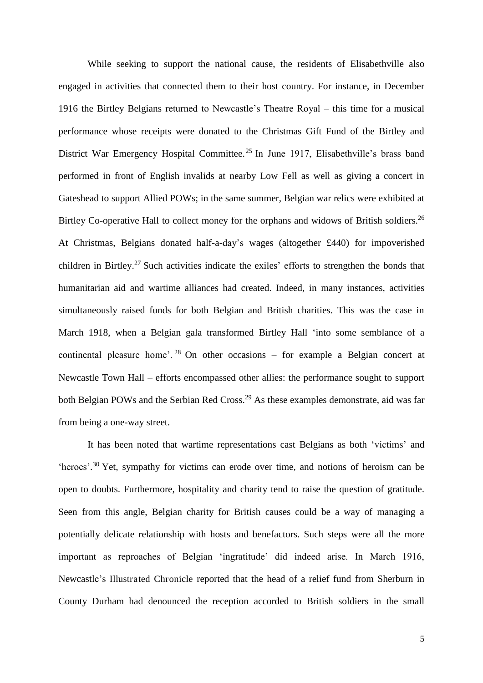While seeking to support the national cause, the residents of Elisabethville also engaged in activities that connected them to their host country. For instance, in December 1916 the Birtley Belgians returned to Newcastle's Theatre Royal – this time for a musical performance whose receipts were donated to the Christmas Gift Fund of the Birtley and District War Emergency Hospital Committee.<sup>25</sup> In June 1917, Elisabethville's brass band performed in front of English invalids at nearby Low Fell as well as giving a concert in Gateshead to support Allied POWs; in the same summer, Belgian war relics were exhibited at Birtley Co-operative Hall to collect money for the orphans and widows of British soldiers.<sup>26</sup> At Christmas, Belgians donated half-a-day's wages (altogether £440) for impoverished children in Birtley.<sup>27</sup> Such activities indicate the exiles' efforts to strengthen the bonds that humanitarian aid and wartime alliances had created. Indeed, in many instances, activities simultaneously raised funds for both Belgian and British charities. This was the case in March 1918, when a Belgian gala transformed Birtley Hall 'into some semblance of a continental pleasure home'.<sup>28</sup> On other occasions – for example a Belgian concert at Newcastle Town Hall – efforts encompassed other allies: the performance sought to support both Belgian POWs and the Serbian Red Cross.<sup>29</sup> As these examples demonstrate, aid was far from being a one-way street.

It has been noted that wartime representations cast Belgians as both 'victims' and 'heroes'. <sup>30</sup> Yet, sympathy for victims can erode over time, and notions of heroism can be open to doubts. Furthermore, hospitality and charity tend to raise the question of gratitude. Seen from this angle, Belgian charity for British causes could be a way of managing a potentially delicate relationship with hosts and benefactors. Such steps were all the more important as reproaches of Belgian 'ingratitude' did indeed arise. In March 1916, Newcastle's Illustrated Chronicle reported that the head of a relief fund from Sherburn in County Durham had denounced the reception accorded to British soldiers in the small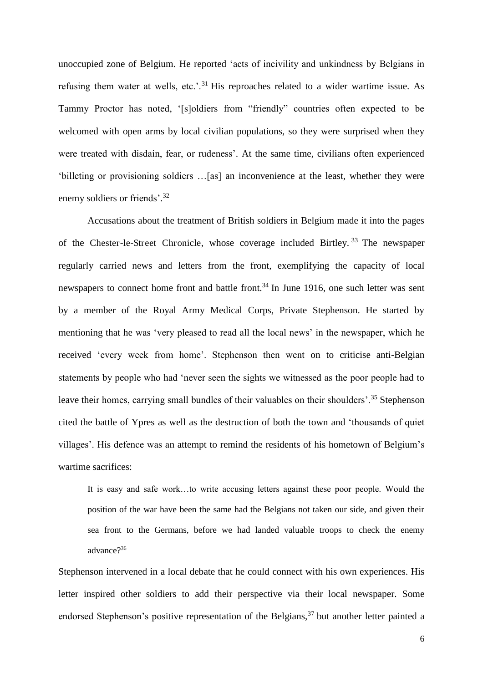unoccupied zone of Belgium. He reported 'acts of incivility and unkindness by Belgians in refusing them water at wells, etc.'.<sup>31</sup> His reproaches related to a wider wartime issue. As Tammy Proctor has noted, '[s]oldiers from "friendly" countries often expected to be welcomed with open arms by local civilian populations, so they were surprised when they were treated with disdain, fear, or rudeness'. At the same time, civilians often experienced 'billeting or provisioning soldiers …[as] an inconvenience at the least, whether they were enemy soldiers or friends'.<sup>32</sup>

Accusations about the treatment of British soldiers in Belgium made it into the pages of the Chester-le-Street Chronicle, whose coverage included Birtley. <sup>33</sup> The newspaper regularly carried news and letters from the front, exemplifying the capacity of local newspapers to connect home front and battle front.<sup>34</sup> In June 1916, one such letter was sent by a member of the Royal Army Medical Corps, Private Stephenson. He started by mentioning that he was 'very pleased to read all the local news' in the newspaper, which he received 'every week from home'. Stephenson then went on to criticise anti-Belgian statements by people who had 'never seen the sights we witnessed as the poor people had to leave their homes, carrying small bundles of their valuables on their shoulders'.<sup>35</sup> Stephenson cited the battle of Ypres as well as the destruction of both the town and 'thousands of quiet villages'. His defence was an attempt to remind the residents of his hometown of Belgium's wartime sacrifices:

It is easy and safe work…to write accusing letters against these poor people. Would the position of the war have been the same had the Belgians not taken our side, and given their sea front to the Germans, before we had landed valuable troops to check the enemy advance?<sup>36</sup>

Stephenson intervened in a local debate that he could connect with his own experiences. His letter inspired other soldiers to add their perspective via their local newspaper. Some endorsed Stephenson's positive representation of the Belgians,  $37$  but another letter painted a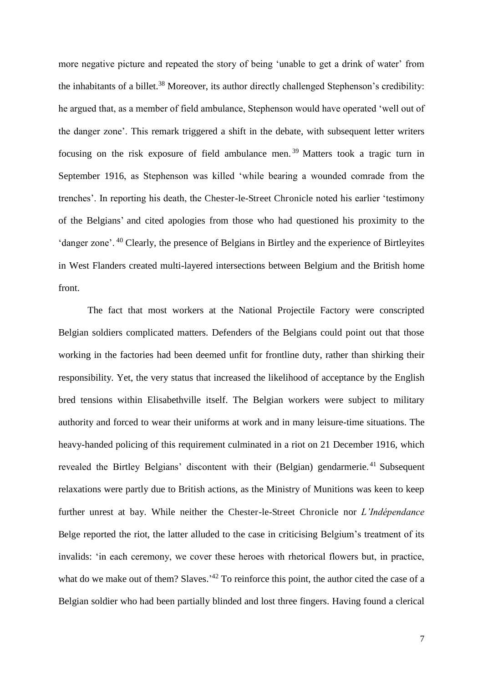more negative picture and repeated the story of being 'unable to get a drink of water' from the inhabitants of a billet.<sup>38</sup> Moreover, its author directly challenged Stephenson's credibility: he argued that, as a member of field ambulance, Stephenson would have operated 'well out of the danger zone'. This remark triggered a shift in the debate, with subsequent letter writers focusing on the risk exposure of field ambulance men. <sup>39</sup> Matters took a tragic turn in September 1916, as Stephenson was killed 'while bearing a wounded comrade from the trenches'. In reporting his death, the Chester-le-Street Chronicle noted his earlier 'testimony of the Belgians' and cited apologies from those who had questioned his proximity to the 'danger zone'. <sup>40</sup> Clearly, the presence of Belgians in Birtley and the experience of Birtleyites in West Flanders created multi-layered intersections between Belgium and the British home front.

The fact that most workers at the National Projectile Factory were conscripted Belgian soldiers complicated matters. Defenders of the Belgians could point out that those working in the factories had been deemed unfit for frontline duty, rather than shirking their responsibility. Yet, the very status that increased the likelihood of acceptance by the English bred tensions within Elisabethville itself. The Belgian workers were subject to military authority and forced to wear their uniforms at work and in many leisure-time situations. The heavy-handed policing of this requirement culminated in a riot on 21 December 1916, which revealed the Birtley Belgians' discontent with their (Belgian) gendarmerie.<sup>41</sup> Subsequent relaxations were partly due to British actions, as the Ministry of Munitions was keen to keep further unrest at bay. While neither the Chester-le-Street Chronicle nor *L'Indépendance*  Belge reported the riot, the latter alluded to the case in criticising Belgium's treatment of its invalids: 'in each ceremony, we cover these heroes with rhetorical flowers but, in practice, what do we make out of them? Slaves.<sup>'42</sup> To reinforce this point, the author cited the case of a Belgian soldier who had been partially blinded and lost three fingers. Having found a clerical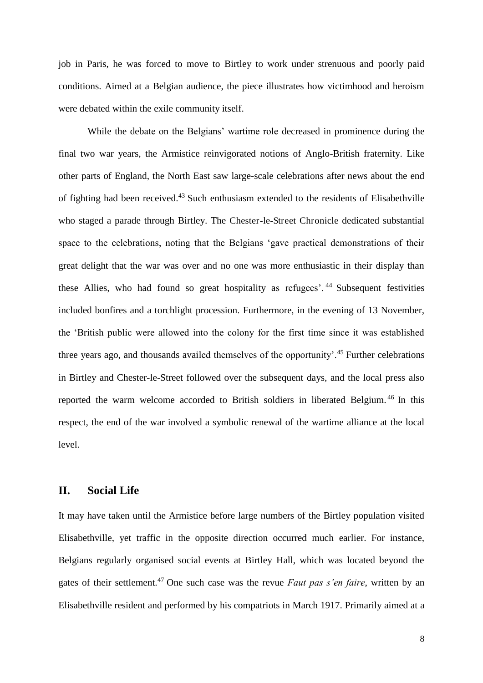job in Paris, he was forced to move to Birtley to work under strenuous and poorly paid conditions. Aimed at a Belgian audience, the piece illustrates how victimhood and heroism were debated within the exile community itself.

While the debate on the Belgians' wartime role decreased in prominence during the final two war years, the Armistice reinvigorated notions of Anglo-British fraternity. Like other parts of England, the North East saw large-scale celebrations after news about the end of fighting had been received.<sup>43</sup> Such enthusiasm extended to the residents of Elisabethville who staged a parade through Birtley. The Chester-le-Street Chronicle dedicated substantial space to the celebrations, noting that the Belgians 'gave practical demonstrations of their great delight that the war was over and no one was more enthusiastic in their display than these Allies, who had found so great hospitality as refugees'.<sup>44</sup> Subsequent festivities included bonfires and a torchlight procession. Furthermore, in the evening of 13 November, the 'British public were allowed into the colony for the first time since it was established three years ago, and thousands availed themselves of the opportunity'.<sup>45</sup> Further celebrations in Birtley and Chester-le-Street followed over the subsequent days, and the local press also reported the warm welcome accorded to British soldiers in liberated Belgium. <sup>46</sup> In this respect, the end of the war involved a symbolic renewal of the wartime alliance at the local level.

#### **II. Social Life**

It may have taken until the Armistice before large numbers of the Birtley population visited Elisabethville, yet traffic in the opposite direction occurred much earlier. For instance, Belgians regularly organised social events at Birtley Hall, which was located beyond the gates of their settlement.<sup>47</sup> One such case was the revue *Faut pas s'en faire*, written by an Elisabethville resident and performed by his compatriots in March 1917. Primarily aimed at a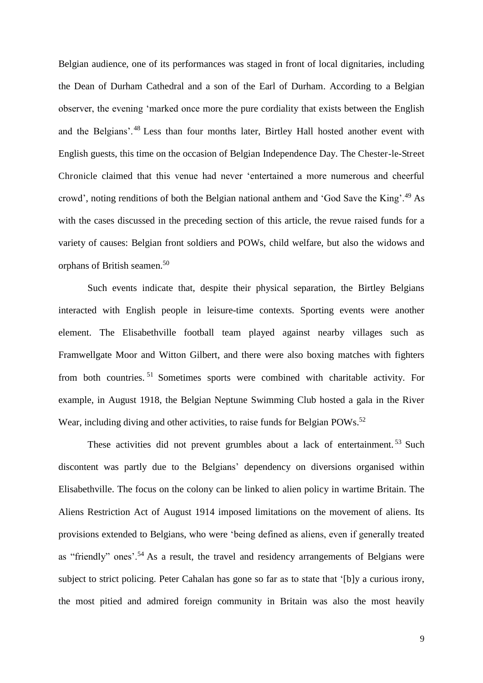Belgian audience, one of its performances was staged in front of local dignitaries, including the Dean of Durham Cathedral and a son of the Earl of Durham. According to a Belgian observer, the evening 'marked once more the pure cordiality that exists between the English and the Belgians'.<sup>48</sup> Less than four months later, Birtley Hall hosted another event with English guests, this time on the occasion of Belgian Independence Day. The Chester-le-Street Chronicle claimed that this venue had never 'entertained a more numerous and cheerful crowd', noting renditions of both the Belgian national anthem and 'God Save the King'.<sup>49</sup> As with the cases discussed in the preceding section of this article, the revue raised funds for a variety of causes: Belgian front soldiers and POWs, child welfare, but also the widows and orphans of British seamen.<sup>50</sup>

Such events indicate that, despite their physical separation, the Birtley Belgians interacted with English people in leisure-time contexts. Sporting events were another element. The Elisabethville football team played against nearby villages such as Framwellgate Moor and Witton Gilbert, and there were also boxing matches with fighters from both countries. <sup>51</sup> Sometimes sports were combined with charitable activity. For example, in August 1918, the Belgian Neptune Swimming Club hosted a gala in the River Wear, including diving and other activities, to raise funds for Belgian POWs.<sup>52</sup>

These activities did not prevent grumbles about a lack of entertainment.<sup>53</sup> Such discontent was partly due to the Belgians' dependency on diversions organised within Elisabethville. The focus on the colony can be linked to alien policy in wartime Britain. The Aliens Restriction Act of August 1914 imposed limitations on the movement of aliens. Its provisions extended to Belgians, who were 'being defined as aliens, even if generally treated as "friendly" ones'.<sup>54</sup> As a result, the travel and residency arrangements of Belgians were subject to strict policing. Peter Cahalan has gone so far as to state that '[b]y a curious irony, the most pitied and admired foreign community in Britain was also the most heavily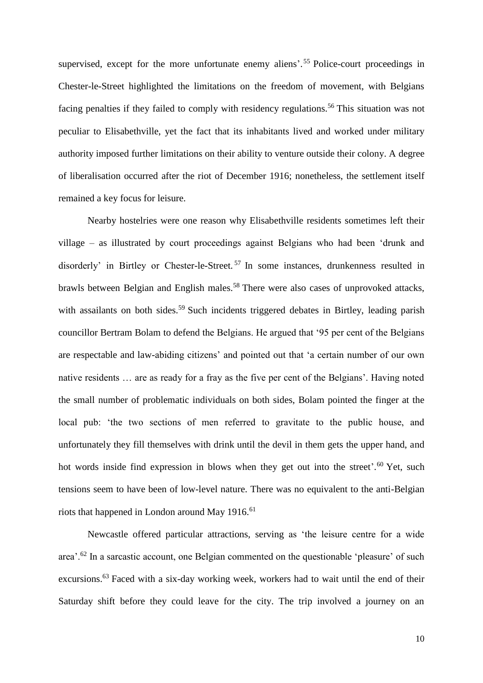supervised, except for the more unfortunate enemy aliens'.<sup>55</sup> Police-court proceedings in Chester-le-Street highlighted the limitations on the freedom of movement, with Belgians facing penalties if they failed to comply with residency regulations.<sup>56</sup> This situation was not peculiar to Elisabethville, yet the fact that its inhabitants lived and worked under military authority imposed further limitations on their ability to venture outside their colony. A degree of liberalisation occurred after the riot of December 1916; nonetheless, the settlement itself remained a key focus for leisure.

Nearby hostelries were one reason why Elisabethville residents sometimes left their village – as illustrated by court proceedings against Belgians who had been 'drunk and disorderly' in Birtley or Chester-le-Street. <sup>57</sup> In some instances, drunkenness resulted in brawls between Belgian and English males.<sup>58</sup> There were also cases of unprovoked attacks, with assailants on both sides.<sup>59</sup> Such incidents triggered debates in Birtley, leading parish councillor Bertram Bolam to defend the Belgians. He argued that '95 per cent of the Belgians are respectable and law-abiding citizens' and pointed out that 'a certain number of our own native residents … are as ready for a fray as the five per cent of the Belgians'. Having noted the small number of problematic individuals on both sides, Bolam pointed the finger at the local pub: 'the two sections of men referred to gravitate to the public house, and unfortunately they fill themselves with drink until the devil in them gets the upper hand, and hot words inside find expression in blows when they get out into the street'.<sup>60</sup> Yet, such tensions seem to have been of low-level nature. There was no equivalent to the anti-Belgian riots that happened in London around May  $1916$ .<sup>61</sup>

Newcastle offered particular attractions, serving as 'the leisure centre for a wide area'.<sup>62</sup> In a sarcastic account, one Belgian commented on the questionable 'pleasure' of such excursions.<sup>63</sup> Faced with a six-day working week, workers had to wait until the end of their Saturday shift before they could leave for the city. The trip involved a journey on an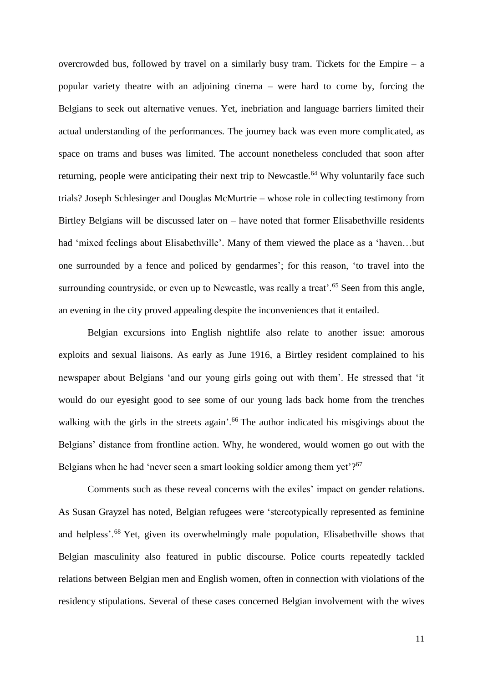overcrowded bus, followed by travel on a similarly busy tram. Tickets for the Empire – a popular variety theatre with an adjoining cinema – were hard to come by, forcing the Belgians to seek out alternative venues. Yet, inebriation and language barriers limited their actual understanding of the performances. The journey back was even more complicated, as space on trams and buses was limited. The account nonetheless concluded that soon after returning, people were anticipating their next trip to Newcastle.<sup>64</sup> Why voluntarily face such trials? Joseph Schlesinger and Douglas McMurtrie – whose role in collecting testimony from Birtley Belgians will be discussed later on – have noted that former Elisabethville residents had 'mixed feelings about Elisabethville'. Many of them viewed the place as a 'haven…but one surrounded by a fence and policed by gendarmes'; for this reason, 'to travel into the surrounding countryside, or even up to Newcastle, was really a treat'.<sup>65</sup> Seen from this angle, an evening in the city proved appealing despite the inconveniences that it entailed.

Belgian excursions into English nightlife also relate to another issue: amorous exploits and sexual liaisons. As early as June 1916, a Birtley resident complained to his newspaper about Belgians 'and our young girls going out with them'. He stressed that 'it would do our eyesight good to see some of our young lads back home from the trenches walking with the girls in the streets again'.<sup>66</sup> The author indicated his misgivings about the Belgians' distance from frontline action. Why, he wondered, would women go out with the Belgians when he had 'never seen a smart looking soldier among them yet'?<sup>67</sup>

Comments such as these reveal concerns with the exiles' impact on gender relations. As Susan Grayzel has noted, Belgian refugees were 'stereotypically represented as feminine and helpless'.<sup>68</sup> Yet, given its overwhelmingly male population, Elisabethville shows that Belgian masculinity also featured in public discourse. Police courts repeatedly tackled relations between Belgian men and English women, often in connection with violations of the residency stipulations. Several of these cases concerned Belgian involvement with the wives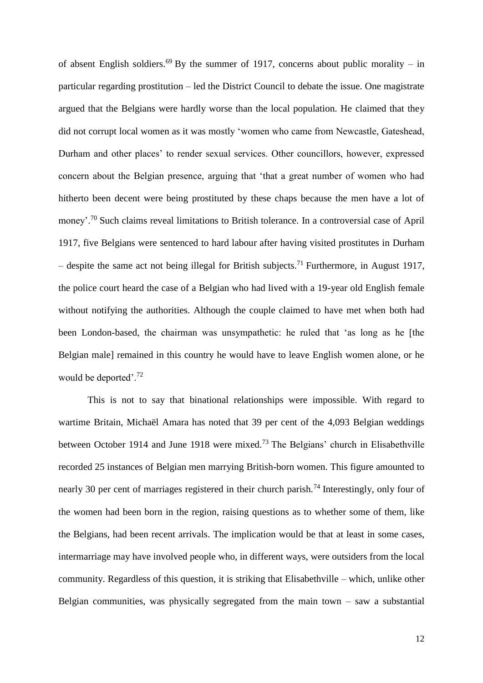of absent English soldiers.<sup>69</sup> By the summer of 1917, concerns about public morality – in particular regarding prostitution – led the District Council to debate the issue. One magistrate argued that the Belgians were hardly worse than the local population. He claimed that they did not corrupt local women as it was mostly 'women who came from Newcastle, Gateshead, Durham and other places' to render sexual services. Other councillors, however, expressed concern about the Belgian presence, arguing that 'that a great number of women who had hitherto been decent were being prostituted by these chaps because the men have a lot of money'.<sup>70</sup> Such claims reveal limitations to British tolerance. In a controversial case of April 1917, five Belgians were sentenced to hard labour after having visited prostitutes in Durham – despite the same act not being illegal for British subjects.<sup>71</sup> Furthermore, in August 1917, the police court heard the case of a Belgian who had lived with a 19-year old English female without notifying the authorities. Although the couple claimed to have met when both had been London-based, the chairman was unsympathetic: he ruled that 'as long as he [the Belgian male] remained in this country he would have to leave English women alone, or he would be deported'.<sup>72</sup>

This is not to say that binational relationships were impossible. With regard to wartime Britain, Michaël Amara has noted that 39 per cent of the 4,093 Belgian weddings between October 1914 and June 1918 were mixed.<sup>73</sup> The Belgians' church in Elisabethville recorded 25 instances of Belgian men marrying British-born women. This figure amounted to nearly 30 per cent of marriages registered in their church parish.<sup>74</sup> Interestingly, only four of the women had been born in the region, raising questions as to whether some of them, like the Belgians, had been recent arrivals. The implication would be that at least in some cases, intermarriage may have involved people who, in different ways, were outsiders from the local community. Regardless of this question, it is striking that Elisabethville – which, unlike other Belgian communities, was physically segregated from the main town  $-$  saw a substantial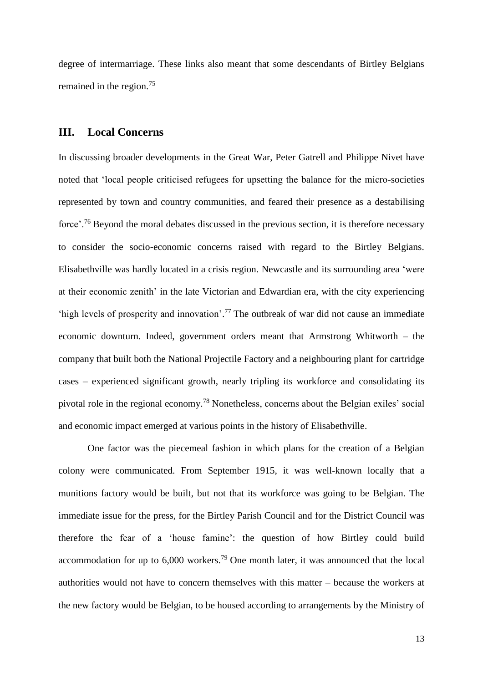degree of intermarriage. These links also meant that some descendants of Birtley Belgians remained in the region.<sup>75</sup>

#### **III. Local Concerns**

In discussing broader developments in the Great War, Peter Gatrell and Philippe Nivet have noted that 'local people criticised refugees for upsetting the balance for the micro-societies represented by town and country communities, and feared their presence as a destabilising force'.<sup>76</sup> Beyond the moral debates discussed in the previous section, it is therefore necessary to consider the socio-economic concerns raised with regard to the Birtley Belgians. Elisabethville was hardly located in a crisis region. Newcastle and its surrounding area 'were at their economic zenith' in the late Victorian and Edwardian era, with the city experiencing 'high levels of prosperity and innovation'. <sup>77</sup> The outbreak of war did not cause an immediate economic downturn. Indeed, government orders meant that Armstrong Whitworth – the company that built both the National Projectile Factory and a neighbouring plant for cartridge cases – experienced significant growth, nearly tripling its workforce and consolidating its pivotal role in the regional economy.<sup>78</sup> Nonetheless, concerns about the Belgian exiles' social and economic impact emerged at various points in the history of Elisabethville.

One factor was the piecemeal fashion in which plans for the creation of a Belgian colony were communicated. From September 1915, it was well-known locally that a munitions factory would be built, but not that its workforce was going to be Belgian. The immediate issue for the press, for the Birtley Parish Council and for the District Council was therefore the fear of a 'house famine': the question of how Birtley could build accommodation for up to  $6,000$  workers.<sup>79</sup> One month later, it was announced that the local authorities would not have to concern themselves with this matter – because the workers at the new factory would be Belgian, to be housed according to arrangements by the Ministry of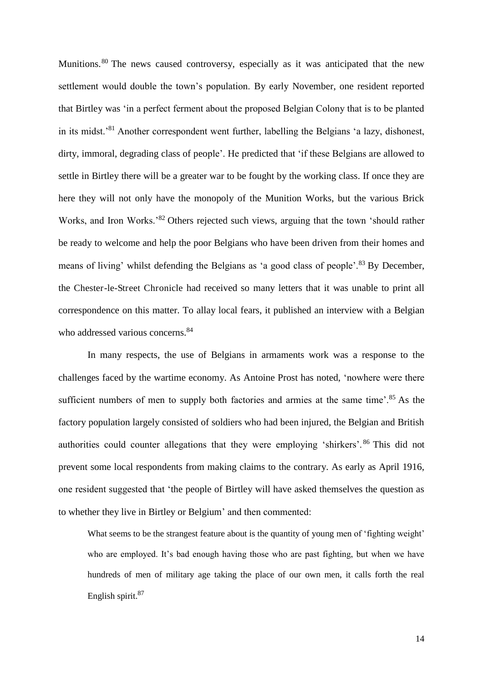Munitions.<sup>80</sup> The news caused controversy, especially as it was anticipated that the new settlement would double the town's population. By early November, one resident reported that Birtley was 'in a perfect ferment about the proposed Belgian Colony that is to be planted in its midst.'<sup>81</sup> Another correspondent went further, labelling the Belgians 'a lazy, dishonest, dirty, immoral, degrading class of people'. He predicted that 'if these Belgians are allowed to settle in Birtley there will be a greater war to be fought by the working class. If once they are here they will not only have the monopoly of the Munition Works, but the various Brick Works, and Iron Works.<sup>82</sup> Others rejected such views, arguing that the town 'should rather be ready to welcome and help the poor Belgians who have been driven from their homes and means of living' whilst defending the Belgians as 'a good class of people'.<sup>83</sup> By December, the Chester-le-Street Chronicle had received so many letters that it was unable to print all correspondence on this matter. To allay local fears, it published an interview with a Belgian who addressed various concerns.<sup>84</sup>

In many respects, the use of Belgians in armaments work was a response to the challenges faced by the wartime economy. As Antoine Prost has noted, 'nowhere were there sufficient numbers of men to supply both factories and armies at the same time'.<sup>85</sup> As the factory population largely consisted of soldiers who had been injured, the Belgian and British authorities could counter allegations that they were employing 'shirkers'. <sup>86</sup> This did not prevent some local respondents from making claims to the contrary. As early as April 1916, one resident suggested that 'the people of Birtley will have asked themselves the question as to whether they live in Birtley or Belgium' and then commented:

What seems to be the strangest feature about is the quantity of young men of 'fighting weight' who are employed. It's bad enough having those who are past fighting, but when we have hundreds of men of military age taking the place of our own men, it calls forth the real English spirit.<sup>87</sup>

14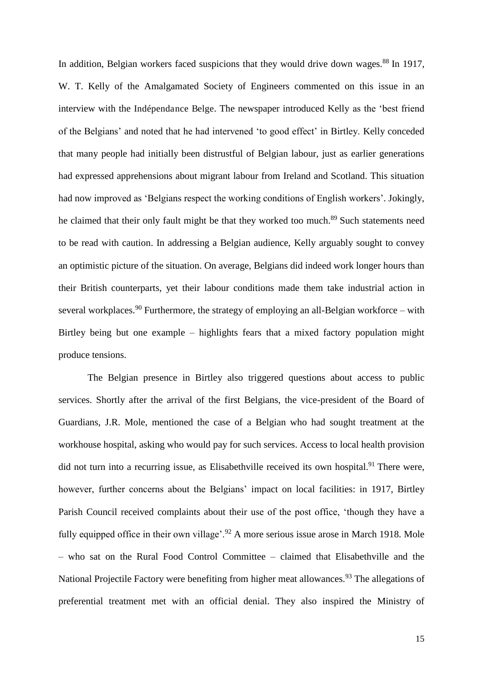In addition, Belgian workers faced suspicions that they would drive down wages.<sup>88</sup> In 1917, W. T. Kelly of the Amalgamated Society of Engineers commented on this issue in an interview with the Indépendance Belge. The newspaper introduced Kelly as the 'best friend of the Belgians' and noted that he had intervened 'to good effect' in Birtley. Kelly conceded that many people had initially been distrustful of Belgian labour, just as earlier generations had expressed apprehensions about migrant labour from Ireland and Scotland. This situation had now improved as 'Belgians respect the working conditions of English workers'. Jokingly, he claimed that their only fault might be that they worked too much.<sup>89</sup> Such statements need to be read with caution. In addressing a Belgian audience, Kelly arguably sought to convey an optimistic picture of the situation. On average, Belgians did indeed work longer hours than their British counterparts, yet their labour conditions made them take industrial action in several workplaces.<sup>90</sup> Furthermore, the strategy of employing an all-Belgian workforce – with Birtley being but one example – highlights fears that a mixed factory population might produce tensions.

 The Belgian presence in Birtley also triggered questions about access to public services. Shortly after the arrival of the first Belgians, the vice-president of the Board of Guardians, J.R. Mole, mentioned the case of a Belgian who had sought treatment at the workhouse hospital, asking who would pay for such services. Access to local health provision did not turn into a recurring issue, as Elisabethville received its own hospital.<sup>91</sup> There were, however, further concerns about the Belgians' impact on local facilities: in 1917, Birtley Parish Council received complaints about their use of the post office, 'though they have a fully equipped office in their own village'.<sup>92</sup> A more serious issue arose in March 1918. Mole – who sat on the Rural Food Control Committee – claimed that Elisabethville and the National Projectile Factory were benefiting from higher meat allowances.<sup>93</sup> The allegations of preferential treatment met with an official denial. They also inspired the Ministry of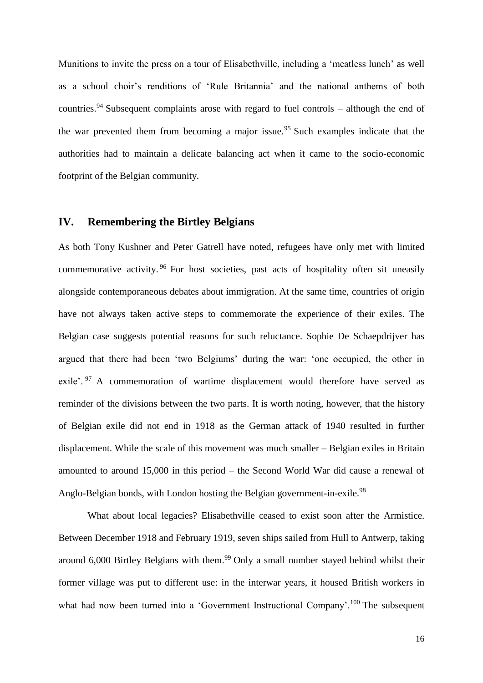Munitions to invite the press on a tour of Elisabethville, including a 'meatless lunch' as well as a school choir's renditions of 'Rule Britannia' and the national anthems of both countries.<sup>94</sup> Subsequent complaints arose with regard to fuel controls – although the end of the war prevented them from becoming a major issue.<sup>95</sup> Such examples indicate that the authorities had to maintain a delicate balancing act when it came to the socio-economic footprint of the Belgian community.

#### **IV. Remembering the Birtley Belgians**

As both Tony Kushner and Peter Gatrell have noted, refugees have only met with limited commemorative activity. <sup>96</sup> For host societies, past acts of hospitality often sit uneasily alongside contemporaneous debates about immigration. At the same time, countries of origin have not always taken active steps to commemorate the experience of their exiles. The Belgian case suggests potential reasons for such reluctance. Sophie De Schaepdrijver has argued that there had been 'two Belgiums' during the war: 'one occupied, the other in exile'. <sup>97</sup> A commemoration of wartime displacement would therefore have served as reminder of the divisions between the two parts. It is worth noting, however, that the history of Belgian exile did not end in 1918 as the German attack of 1940 resulted in further displacement. While the scale of this movement was much smaller – Belgian exiles in Britain amounted to around 15,000 in this period – the Second World War did cause a renewal of Anglo-Belgian bonds, with London hosting the Belgian government-in-exile.<sup>98</sup>

What about local legacies? Elisabethville ceased to exist soon after the Armistice. Between December 1918 and February 1919, seven ships sailed from Hull to Antwerp, taking around 6,000 Birtley Belgians with them.<sup>99</sup> Only a small number stayed behind whilst their former village was put to different use: in the interwar years, it housed British workers in what had now been turned into a 'Government Instructional Company'.<sup>100</sup> The subsequent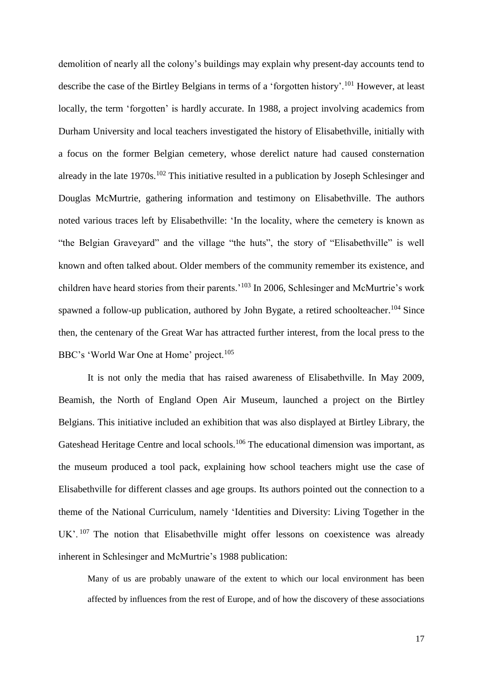demolition of nearly all the colony's buildings may explain why present-day accounts tend to describe the case of the Birtley Belgians in terms of a 'forgotten history'.<sup>101</sup> However, at least locally, the term 'forgotten' is hardly accurate. In 1988, a project involving academics from Durham University and local teachers investigated the history of Elisabethville, initially with a focus on the former Belgian cemetery, whose derelict nature had caused consternation already in the late 1970s.<sup>102</sup> This initiative resulted in a publication by Joseph Schlesinger and Douglas McMurtrie, gathering information and testimony on Elisabethville. The authors noted various traces left by Elisabethville: 'In the locality, where the cemetery is known as "the Belgian Graveyard" and the village "the huts", the story of "Elisabethville" is well known and often talked about. Older members of the community remember its existence, and children have heard stories from their parents.'<sup>103</sup> In 2006, Schlesinger and McMurtrie's work spawned a follow-up publication, authored by John Bygate, a retired schoolteacher.<sup>104</sup> Since then, the centenary of the Great War has attracted further interest, from the local press to the BBC's 'World War One at Home' project.<sup>105</sup>

It is not only the media that has raised awareness of Elisabethville. In May 2009, Beamish, the North of England Open Air Museum, launched a project on the Birtley Belgians. This initiative included an exhibition that was also displayed at Birtley Library, the Gateshead Heritage Centre and local schools.<sup>106</sup> The educational dimension was important, as the museum produced a tool pack, explaining how school teachers might use the case of Elisabethville for different classes and age groups. Its authors pointed out the connection to a theme of the National Curriculum, namely 'Identities and Diversity: Living Together in the UK'.<sup>107</sup> The notion that Elisabethville might offer lessons on coexistence was already inherent in Schlesinger and McMurtrie's 1988 publication:

Many of us are probably unaware of the extent to which our local environment has been affected by influences from the rest of Europe, and of how the discovery of these associations

17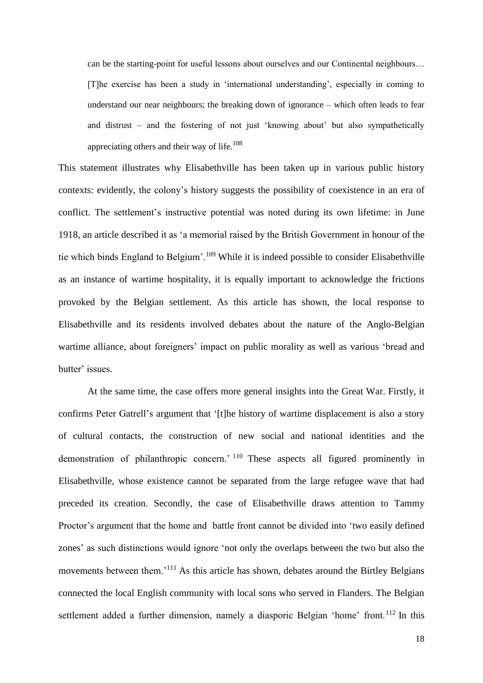can be the starting-point for useful lessons about ourselves and our Continental neighbours… [T]he exercise has been a study in 'international understanding', especially in coming to understand our near neighbours; the breaking down of ignorance – which often leads to fear and distrust – and the fostering of not just 'knowing about' but also sympathetically appreciating others and their way of life.<sup>108</sup>

This statement illustrates why Elisabethville has been taken up in various public history contexts: evidently, the colony's history suggests the possibility of coexistence in an era of conflict. The settlement's instructive potential was noted during its own lifetime: in June 1918, an article described it as 'a memorial raised by the British Government in honour of the tie which binds England to Belgium'.<sup>109</sup> While it is indeed possible to consider Elisabethville as an instance of wartime hospitality, it is equally important to acknowledge the frictions provoked by the Belgian settlement. As this article has shown, the local response to Elisabethville and its residents involved debates about the nature of the Anglo-Belgian wartime alliance, about foreigners' impact on public morality as well as various 'bread and butter' issues.

At the same time, the case offers more general insights into the Great War. Firstly, it confirms Peter Gatrell's argument that '[t]he history of wartime displacement is also a story of cultural contacts, the construction of new social and national identities and the demonstration of philanthropic concern.' <sup>110</sup> These aspects all figured prominently in Elisabethville, whose existence cannot be separated from the large refugee wave that had preceded its creation. Secondly, the case of Elisabethville draws attention to Tammy Proctor's argument that the home and battle front cannot be divided into 'two easily defined zones' as such distinctions would ignore 'not only the overlaps between the two but also the movements between them.'<sup>111</sup> As this article has shown, debates around the Birtley Belgians connected the local English community with local sons who served in Flanders. The Belgian settlement added a further dimension, namely a diasporic Belgian 'home' front.<sup>112</sup> In this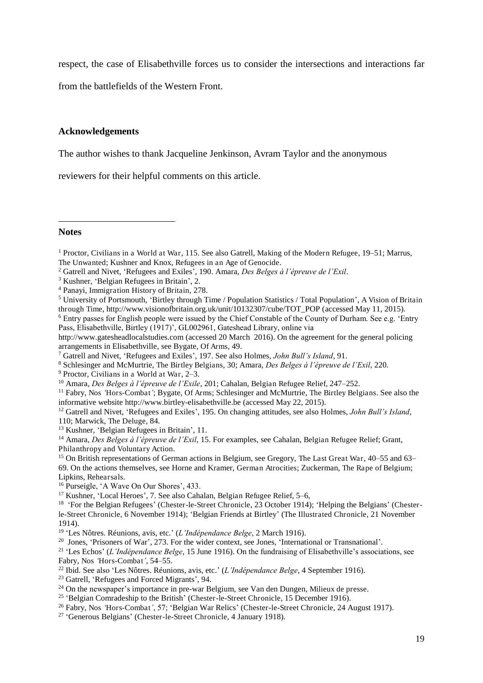respect, the case of Elisabethville forces us to consider the intersections and interactions far

from the battlefields of the Western Front.

#### **Acknowledgements**

The author wishes to thank Jacqueline Jenkinson, Avram Taylor and the anonymous

reviewers for their helpful comments on this article.

#### **Notes**

 $\overline{a}$ 

2 Gatrell and Nivet, 'Refugees and Exiles', 190. Amara, *Des Belges à l'épreuve de l'Exil*.

- 4 Panayi, Immigration History of Britain, 278.
- <sup>5</sup> University of Portsmouth, 'Birtley through Time / Population Statistics / Total Population', A Vision of Britain through Time, http://www.visionofbritain.org.uk/unit/10132307/cube/TOT\_POP (accessed May 11, 2015). <sup>6</sup> Entry passes for English people were issued by the Chief Constable of the County of Durham. See e.g. 'Entry
- Pass, Elisabethville, Birtley (1917)', GL002961, Gateshead Library, online via
- http://www.gatesheadlocalstudies.com (accessed 20 March 2016). On the agreement for the general policing arrangements in Elisabethville, see Bygate, Of Arms, 49.
- 7 Gatrell and Nivet, 'Refugees and Exiles', 197. See also Holmes, *John Bull's Island*, 91.
- 8 Schlesinger and McMurtrie, The Birtley Belgians, 30; Amara, *Des Belges à l'épreuve de l'Exil*, 220.
- 9 Proctor, Civilians in a World at War, 2–3.
- <sup>10</sup> Amara, *Des Belges à l'épreuve de l'Exile*, 201; Cahalan, Belgian Refugee Relief, 247–252.
- <sup>11</sup> Fabry, Nos 'Hors-Combat'; Bygate, Of Arms; Schlesinger and McMurtrie, The Birtley Belgians. See also the informative website http://www.birtley-elisabethville.be (accessed May 22, 2015).
- <sup>12</sup> Gatrell and Nivet, 'Refugees and Exiles', 195. On changing attitudes, see also Holmes, *John Bull's Island*, 110; Marwick, The Deluge, 84.
- <sup>13</sup> Kushner, 'Belgian Refugees in Britain', 11.
- <sup>14</sup> Amara, *Des Belges à l'épreuve de l'Exil*, 15. For examples, see Cahalan, Belgian Refugee Relief; Grant, Philanthropy and Voluntary Action.

<sup>15</sup> On British representations of German actions in Belgium, see Gregory, The Last Great War, 40–55 and 63– 69. On the actions themselves, see Horne and Kramer, German Atrocities; Zuckerman, The Rape of Belgium; Lipkins, Rehearsals.

- <sup>16</sup> Purseigle, 'A Wave On Our Shores', 433.
- <sup>17</sup> Kushner, 'Local Heroes', 7. See also Cahalan, Belgian Refugee Relief, 5–6,

<sup>18</sup> 'For the Belgian Refugees' (Chester-le-Street Chronicle, 23 October 1914); 'Helping the Belgians' (Chesterle-Street Chronicle, 6 November 1914); 'Belgian Friends at Birtley' (The Illustrated Chronicle, 21 November 1914).

- 19 'Les Nôtres. Réunions, avis, etc.' (*L'Indépendance Belge*, 2 March 1916).
- <sup>20</sup> Jones, 'Prisoners of War', 273. For the wider context, see Jones, 'International or Transnational'.

<sup>21</sup> 'Les Echos' (*L'Indépendance Belge*, 15 June 1916). On the fundraising of Elisabethville's associations, see Fabry, Nos *'*Hors-Combat*'*, 54–55.

- <sup>22</sup> Ibid. See also 'Les Nôtres. Réunions, avis, etc.' (*L'Indépendance Belge*, 4 September 1916).
- <sup>23</sup> Gatrell, 'Refugees and Forced Migrants', 94.
- <sup>24</sup> On the newspaper's importance in pre-war Belgium, see Van den Dungen, Milieux de presse.
- <sup>25</sup> 'Belgian Comradeship to the British' (Chester-le-Street Chronicle, 15 December 1916).
- <sup>26</sup> Fabry, Nos *'*Hors-Combat*'*, 57; 'Belgian War Relics' (Chester-le-Street Chronicle, 24 August 1917).
- <sup>27</sup> 'Generous Belgians' (Chester-le-Street Chronicle, 4 January 1918).

<sup>&</sup>lt;sup>1</sup> Proctor, Civilians in a World at War, 115. See also Gatrell, Making of the Modern Refugee, 19–51; Marrus, The Unwanted; Kushner and Knox, Refugees in an Age of Genocide.

<sup>3</sup> Kushner, 'Belgian Refugees in Britain', 2.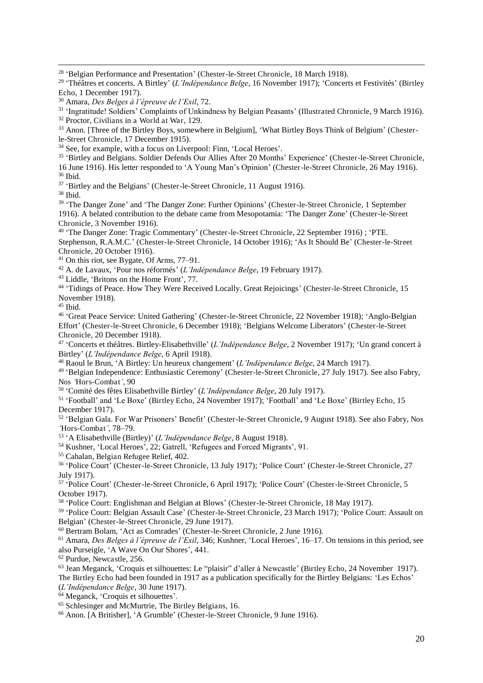<sup>31</sup> 'Ingratitude! Soldiers' Complaints of Unkindness by Belgian Peasants' (Illustrated Chronicle, 9 March 1916).

<sup>34</sup> See, for example, with a focus on Liverpool: Finn, 'Local Heroes'.

<sup>35</sup> 'Birtley and Belgians. Soldier Defends Our Allies After 20 Months' Experience' (Chester-le-Street Chronicle, 16 June 1916). His letter responded to 'A Young Man's Opinion' (Chester-le-Street Chronicle, 26 May 1916).

<sup>36</sup> Ibid.

 $\overline{a}$ 

<sup>37</sup> 'Birtley and the Belgians' (Chester-le-Street Chronicle, 11 August 1916).

<sup>38</sup> Ibid.

<sup>39</sup> 'The Danger Zone' and 'The Danger Zone: Further Opinions' (Chester-le-Street Chronicle, 1 September 1916). A belated contribution to the debate came from Mesopotamia: 'The Danger Zone' (Chester-le-Street Chronicle, 3 November 1916).

<sup>40</sup> 'The Danger Zone: Tragic Commentary' (Chester-le-Street Chronicle, 22 September 1916) ; 'PTE. Stephenson, R.A.M.C.' (Chester-le-Street Chronicle, 14 October 1916); 'As It Should Be' (Chester-le-Street Chronicle, 20 October 1916).

<sup>41</sup> On this riot, see Bygate, Of Arms, 77–91.

<sup>42</sup> A. de Lavaux, 'Pour nos réformés' (*L'Indépendance Belge*, 19 February 1917).

<sup>43</sup> Liddle, 'Britons on the Home Front', 77.

<sup>44</sup> 'Tidings of Peace. How They Were Received Locally. Great Rejoicings' (Chester-le-Street Chronicle, 15 November 1918).

 $45$  Ibid.

<sup>46</sup> 'Great Peace Service: United Gathering' (Chester-le-Street Chronicle, 22 November 1918); 'Anglo-Belgian Effort' (Chester-le-Street Chronicle, 6 December 1918); 'Belgians Welcome Liberators' (Chester-le-Street Chronicle, 20 December 1918).

47 'Concerts et théâtres. Birtley-Elisabethville' (*L'Indépendance Belge*, 2 November 1917); 'Un grand concert à Birtley' (*L'Indépendance Belge*, 6 April 1918).

<sup>48</sup> Raoul le Brun, 'A Birtley: Un heureux changement' (*L'Indépendance Belge*, 24 March 1917).

<sup>49</sup> 'Belgian Independence: Enthusiastic Ceremony' (Chester-le-Street Chronicle, 27 July 1917). See also Fabry, Nos *'*Hors-Combat*'*, 90

50 'Comité des fêtes Elisabethville Birtley' (*L'Indépendance Belge*, 20 July 1917).

51 'Football' and 'Le Boxe' (Birtley Echo, 24 November 1917); 'Football' and 'Le Boxe' (Birtley Echo, 15 December 1917).

<sup>52</sup> 'Belgian Gala. For War Prisoners' Benefit' (Chester-le-Street Chronicle, 9 August 1918). See also Fabry, Nos *'*Hors-Combat*'*, 78–79.

53 'A Elisabethville (Birtley)' (*L'Indépendance Belge*, 8 August 1918).

<sup>54</sup> Kushner, 'Local Heroes', 22; Gatrell, 'Refugees and Forced Migrants', 91.

<sup>55</sup> Cahalan, Belgian Refugee Relief, 402.

56 'Police Court' (Chester-le-Street Chronicle, 13 July 1917); 'Police Court' (Chester-le-Street Chronicle, 27 July 1917).

57 'Police Court' (Chester-le-Street Chronicle, 6 April 1917); 'Police Court' (Chester-le-Street Chronicle, 5 October 1917).

58 'Police Court: Englishman and Belgian at Blows' (Chester-le-Street Chronicle, 18 May 1917).

59 'Police Court: Belgian Assault Case' (Chester-le-Street Chronicle, 23 March 1917); 'Police Court: Assault on Belgian' (Chester-le-Street Chronicle, 29 June 1917).

<sup>60</sup> Bertram Bolam, 'Act as Comrades' (Chester-le-Street Chronicle, 2 June 1916).

<sup>61</sup> Amara, *Des Belges à l'épreuve de l'Exil*, 346; Kushner, 'Local Heroes', 16–17. On tensions in this period, see also Purseigle, 'A Wave On Our Shores', 441.

<sup>62</sup> Purdue, Newcastle, 256.

<sup>63</sup> Jean Meganck, 'Croquis et silhouettes: Le "plaisir" d'aller à Newcastle' (Birtley Echo, 24 November 1917). The Birtley Echo had been founded in 1917 as a publication specifically for the Birtley Belgians: 'Les Echos'

(*L'Indépendance Belge*, 30 June 1917).

<sup>64</sup> Meganck, 'Croquis et silhouettes'.

<sup>65</sup> Schlesinger and McMurtrie, The Birtley Belgians, 16.

<sup>66</sup> Anon. [A Britisher], 'A Grumble' (Chester-le-Street Chronicle, 9 June 1916).

<sup>&</sup>lt;sup>28</sup> 'Belgian Performance and Presentation' (Chester-le-Street Chronicle, 18 March 1918).

<sup>29</sup> 'Théâtres et concerts. A Birtley' (*L'Indépendance Belge*, 16 November 1917); 'Concerts et Festivités' (Birtley Echo, 1 December 1917).

<sup>30</sup> Amara, *Des Belges à l'épreuve de l'Exil*, 72.

 $32$  Proctor, Civilians in a World at War, 129.

<sup>&</sup>lt;sup>33</sup> Anon. [Three of the Birtley Boys, somewhere in Belgium], 'What Birtley Boys Think of Belgium' (Chesterle-Street Chronicle, 17 December 1915).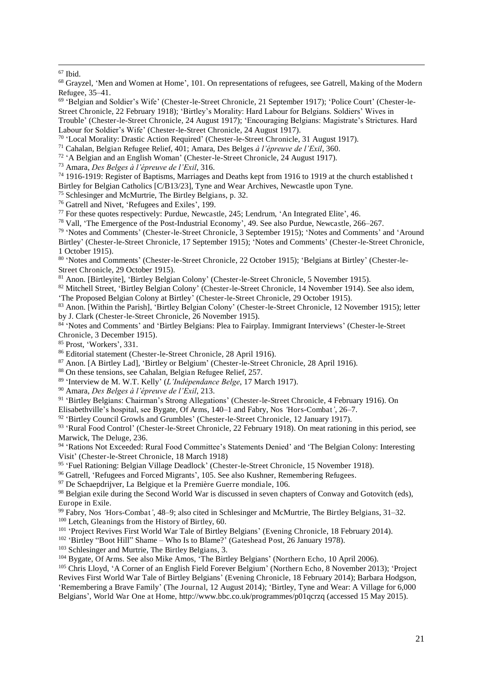#### $67$  Ibid.

 $\overline{a}$ 

|                 |  | <sup>68</sup> Grayzel, 'Men and Women at Home', 101. On representations of refugees, see Gatrell, Making of the Modern |  |  |  |
|-----------------|--|------------------------------------------------------------------------------------------------------------------------|--|--|--|
| Refugee, 35–41. |  |                                                                                                                        |  |  |  |

<sup>69</sup> 'Belgian and Soldier's Wife' (Chester-le-Street Chronicle, 21 September 1917); 'Police Court' (Chester-le-Street Chronicle, 22 February 1918); 'Birtley's Morality: Hard Labour for Belgians. Soldiers' Wives in Trouble' (Chester-le-Street Chronicle, 24 August 1917); 'Encouraging Belgians: Magistrate's Strictures. Hard

Labour for Soldier's Wife' (Chester-le-Street Chronicle, 24 August 1917).

70 'Local Morality: Drastic Action Required' (Chester-le-Street Chronicle, 31 August 1917).

<sup>71</sup> Cahalan, Belgian Refugee Relief, 401; Amara, Des Belges *à l'épreuve de l'Exil*, 360.

<sup>72</sup> 'A Belgian and an English Woman' (Chester-le-Street Chronicle, 24 August 1917).

<sup>73</sup> Amara, *Des Belges à l'épreuve de l'Exil*, 316.

<sup>74</sup> 1916-1919: Register of Baptisms, Marriages and Deaths kept from 1916 to 1919 at the church established t Birtley for Belgian Catholics [C/B13/23], Tyne and Wear Archives, Newcastle upon Tyne.

<sup>75</sup> Schlesinger and McMurtrie, The Birtley Belgians, p. 32.

<sup>76</sup> Gatrell and Nivet, 'Refugees and Exiles', 199.

 $77$  For these quotes respectively: Purdue, Newcastle, 245; Lendrum, 'An Integrated Elite', 46.

<sup>78</sup> Vall, 'The Emergence of the Post-Industrial Economy', 49. See also Purdue, Newcastle, 266–267.

<sup>79</sup> 'Notes and Comments' (Chester-le-Street Chronicle, 3 September 1915); 'Notes and Comments' and 'Around Birtley' (Chester-le-Street Chronicle, 17 September 1915); 'Notes and Comments' (Chester-le-Street Chronicle, 1 October 1915).

80 'Notes and Comments' (Chester-le-Street Chronicle, 22 October 1915); 'Belgians at Birtley' (Chester-le-Street Chronicle, 29 October 1915).

<sup>81</sup> Anon. [Birtleyite], 'Birtley Belgian Colony' (Chester-le-Street Chronicle, 5 November 1915).

<sup>82</sup> Mitchell Street, 'Birtley Belgian Colony' (Chester-le-Street Chronicle, 14 November 1914). See also idem, 'The Proposed Belgian Colony at Birtley' (Chester-le-Street Chronicle, 29 October 1915).

<sup>83</sup> Anon. [Within the Parish], 'Birtley Belgian Colony' (Chester-le-Street Chronicle, 12 November 1915); letter by J. Clark (Chester-le-Street Chronicle, 26 November 1915).

84 'Notes and Comments' and 'Birtley Belgians: Plea to Fairplay. Immigrant Interviews' (Chester-le-Street Chronicle, 3 December 1915).

<sup>85</sup> Prost, 'Workers', 331.

<sup>86</sup> Editorial statement (Chester-le-Street Chronicle, 28 April 1916).

<sup>87</sup> Anon. [A Birtley Lad], 'Birtley or Belgium' (Chester-le-Street Chronicle, 28 April 1916).

<sup>88</sup> On these tensions, see Cahalan, Belgian Refugee Relief, 257.

89 'Interview de M. W.T. Kelly' (*L'Indépendance Belge*, 17 March 1917).

<sup>90</sup> Amara, *Des Belges à l'épreuve de l'Exil*, 213.

91 'Birtley Belgians: Chairman's Strong Allegations' (Chester-le-Street Chronicle, 4 February 1916). On

Elisabethville's hospital, see Bygate, Of Arms, 140–1 and Fabry, Nos *'*Hors-Combat*'*, 26–7.

<sup>92</sup> 'Birtley Council Growls and Grumbles' (Chester-le-Street Chronicle, 12 January 1917).

<sup>93</sup> 'Rural Food Control' (Chester-le-Street Chronicle, 22 February 1918). On meat rationing in this period, see Marwick, The Deluge, 236.

<sup>94</sup> 'Rations Not Exceeded: Rural Food Committee's Statements Denied' and 'The Belgian Colony: Interesting Visit' (Chester-le-Street Chronicle, 18 March 1918)

<sup>95</sup> 'Fuel Rationing: Belgian Village Deadlock' (Chester-le-Street Chronicle, 15 November 1918).

<sup>96</sup> Gatrell, 'Refugees and Forced Migrants', 105. See also Kushner, Remembering Refugees.

<sup>97</sup> De Schaepdrijver, La Belgique et la Première Guerre mondiale, 106.

<sup>98</sup> Belgian exile during the Second World War is discussed in seven chapters of Conway and Gotovitch (eds), Europe in Exile.

<sup>99</sup> Fabry, Nos *'*Hors-Combat*'*, 48–9; also cited in Schlesinger and McMurtrie, The Birtley Belgians, 31–32. <sup>100</sup> Letch, Gleanings from the History of Birtley, 60.

<sup>101</sup> 'Project Revives First World War Tale of Birtley Belgians' (Evening Chronicle, 18 February 2014).

<sup>102</sup> 'Birtley "Boot Hill" Shame – Who Is to Blame?' (Gateshead Post, 26 January 1978).

<sup>103</sup> Schlesinger and Murtrie, The Birtley Belgians, 3.

<sup>104</sup> Bygate, Of Arms. See also Mike Amos, 'The Birtley Belgians' (Northern Echo, 10 April 2006).

<sup>105</sup> Chris Lloyd, 'A Corner of an English Field Forever Belgium' (Northern Echo, 8 November 2013); 'Project Revives First World War Tale of Birtley Belgians' (Evening Chronicle, 18 February 2014); Barbara Hodgson, 'Remembering a Brave Family' (The Journal, 12 August 2014); 'Birtley, Tyne and Wear: A Village for 6,000 Belgians', World War One at Home, http://www.bbc.co.uk/programmes/p01qcrzq (accessed 15 May 2015).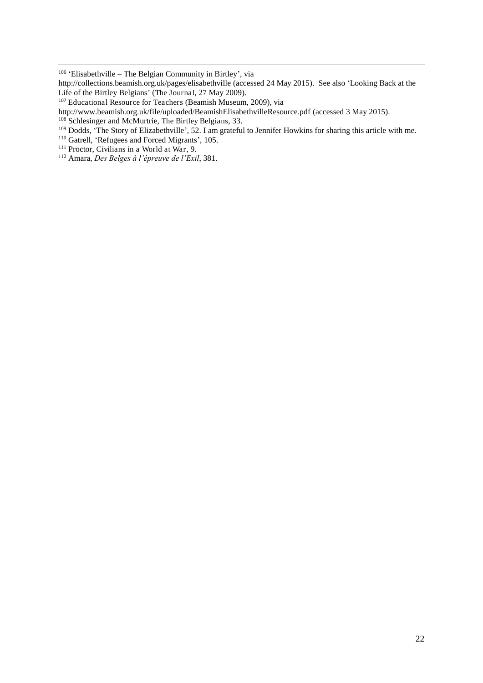$\overline{a}$ 

<sup>106</sup> 'Elisabethville – The Belgian Community in Birtley', via

http://collections.beamish.org.uk/pages/elisabethville (accessed 24 May 2015). See also 'Looking Back at the Life of the Birtley Belgians' (The Journal, 27 May 2009).

<sup>107</sup> Educational Resource for Teachers (Beamish Museum, 2009), via

http://www.beamish.org.uk/file/uploaded/BeamishElisabethvilleResource.pdf (accessed 3 May 2015).

<sup>&</sup>lt;sup>108</sup> Schlesinger and McMurtrie, The Birtley Belgians, 33.

<sup>&</sup>lt;sup>109</sup> Dodds, 'The Story of Elizabethville', 52. I am grateful to Jennifer Howkins for sharing this article with me.

<sup>&</sup>lt;sup>110</sup> Gatrell, 'Refugees and Forced Migrants', 105.

<sup>&</sup>lt;sup>111</sup> Proctor, Civilians in a World at War, 9.

<sup>112</sup> Amara, *Des Belges à l'épreuve de l'Exil*, 381.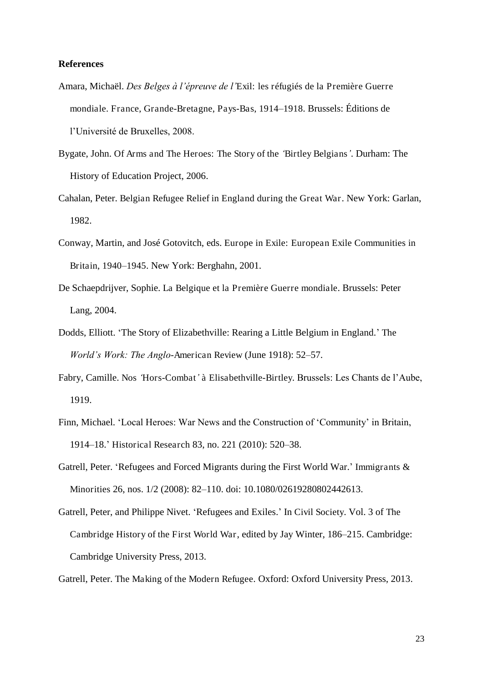#### **References**

- Amara, Michaël. *Des Belges à l'épreuve de l'*Exil: les réfugiés de la Première Guerre mondiale. France, Grande-Bretagne, Pays-Bas, 1914*–*1918. Brussels: Éditions de l'Université de Bruxelles, 2008.
- Bygate, John. Of Arms and The Heroes: The Story of the *'*Birtley Belgians*'*. Durham: The History of Education Project, 2006.
- Cahalan, Peter. Belgian Refugee Relief in England during the Great War. New York: Garlan, 1982.
- Conway, Martin, and José Gotovitch, eds. Europe in Exile: European Exile Communities in Britain, 1940*–*1945. New York: Berghahn, 2001.
- De Schaepdrijver, Sophie. La Belgique et la Première Guerre mondiale. Brussels: Peter Lang, 2004.
- Dodds, Elliott. 'The Story of Elizabethville: Rearing a Little Belgium in England.' The *World's Work: The Anglo*-American Review (June 1918): 52–57.
- Fabry, Camille. Nos *'*Hors-Combat*'* à Elisabethville-Birtley. Brussels: Les Chants de l'Aube, 1919.
- Finn, Michael. 'Local Heroes: War News and the Construction of 'Community' in Britain, 1914–18.' Historical Research 83, no. 221 (2010): 520–38.
- Gatrell, Peter. 'Refugees and Forced Migrants during the First World War.' Immigrants & Minorities 26, nos. 1/2 (2008): 82–110. doi: 10.1080/02619280802442613.
- Gatrell, Peter, and Philippe Nivet. 'Refugees and Exiles.' In Civil Society. Vol. 3 of The Cambridge History of the First World War, edited by Jay Winter, 186–215. Cambridge: Cambridge University Press, 2013.

Gatrell, Peter. The Making of the Modern Refugee. Oxford: Oxford University Press, 2013.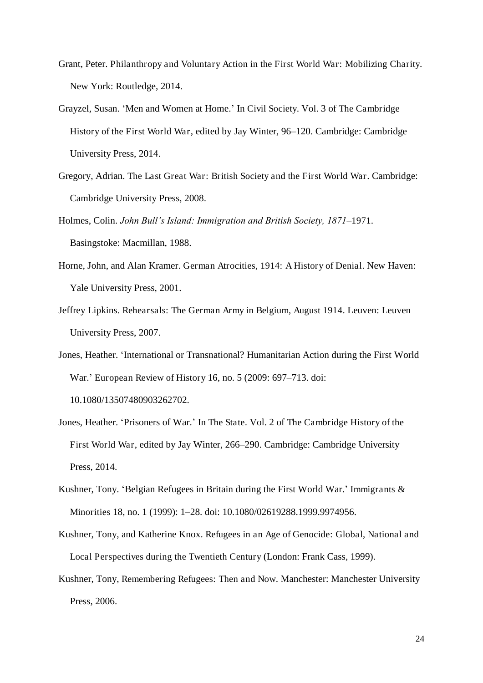- Grant, Peter. Philanthropy and Voluntary Action in the First World War: Mobilizing Charity. New York: Routledge, 2014.
- Grayzel, Susan. 'Men and Women at Home.' In Civil Society. Vol. 3 of The Cambridge History of the First World War, edited by Jay Winter, 96–120. Cambridge: Cambridge University Press, 2014.
- Gregory, Adrian. The Last Great War: British Society and the First World War. Cambridge: Cambridge University Press, 2008.
- Holmes, Colin. *John Bull's Island: Immigration and British Society, 1871–*1971. Basingstoke: Macmillan, 1988.
- Horne, John, and Alan Kramer. German Atrocities, 1914: A History of Denial. New Haven: Yale University Press, 2001.
- Jeffrey Lipkins. Rehearsals: The German Army in Belgium, August 1914. Leuven: Leuven University Press, 2007.
- Jones, Heather. 'International or Transnational? Humanitarian Action during the First World War.' European Review of History 16, no. 5 (2009: 697–713. doi: 10.1080/13507480903262702.
- Jones, Heather. 'Prisoners of War.' In The State. Vol. 2 of The Cambridge History of the First World War, edited by Jay Winter, 266–290. Cambridge: Cambridge University Press, 2014.
- Kushner, Tony. 'Belgian Refugees in Britain during the First World War.' Immigrants & Minorities 18, no. 1 (1999): 1–28. doi: 10.1080/02619288.1999.9974956.
- Kushner, Tony, and Katherine Knox. Refugees in an Age of Genocide: Global, National and Local Perspectives during the Twentieth Century (London: Frank Cass, 1999).
- Kushner, Tony, Remembering Refugees: Then and Now. Manchester: Manchester University Press, 2006.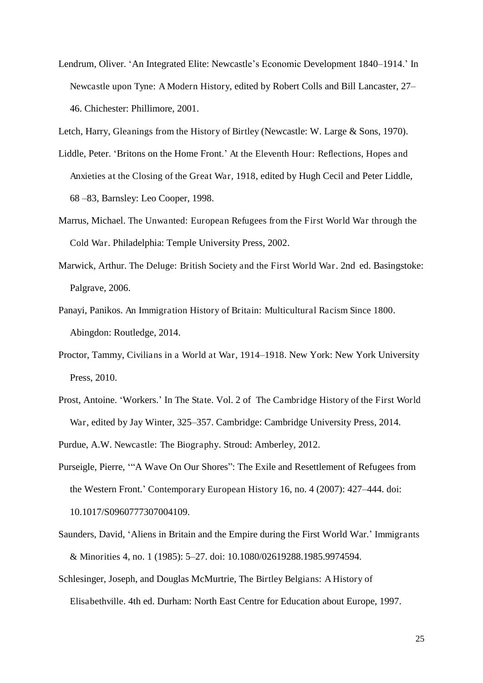Lendrum, Oliver. 'An Integrated Elite: Newcastle's Economic Development 1840–1914.' In Newcastle upon Tyne: A Modern History, edited by Robert Colls and Bill Lancaster, 27– 46. Chichester: Phillimore, 2001.

Letch, Harry, Gleanings from the History of Birtley (Newcastle: W. Large & Sons, 1970).

- Liddle, Peter. 'Britons on the Home Front.' At the Eleventh Hour: Reflections, Hopes and Anxieties at the Closing of the Great War, 1918, edited by Hugh Cecil and Peter Liddle, 68 –83, Barnsley: Leo Cooper, 1998.
- Marrus, Michael. The Unwanted: European Refugees from the First World War through the Cold War. Philadelphia: Temple University Press, 2002.
- Marwick, Arthur. The Deluge: British Society and the First World War. 2nd ed. Basingstoke: Palgrave, 2006.
- Panayi, Panikos. An Immigration History of Britain: Multicultural Racism Since 1800. Abingdon: Routledge, 2014.
- Proctor, Tammy, Civilians in a World at War, 1914*–*1918. New York: New York University Press, 2010.
- Prost, Antoine. 'Workers.' In The State. Vol. 2 of The Cambridge History of the First World War, edited by Jay Winter, 325–357. Cambridge: Cambridge University Press, 2014.

Purdue, A.W. Newcastle: The Biography. Stroud: Amberley, 2012.

- Purseigle, Pierre, '"A Wave On Our Shores": The Exile and Resettlement of Refugees from the Western Front.' Contemporary European History 16, no. 4 (2007): 427–444. doi: 10.1017/S0960777307004109.
- Saunders, David, 'Aliens in Britain and the Empire during the First World War.' Immigrants & Minorities 4, no. 1 (1985): 5–27. doi: 10.1080/02619288.1985.9974594.
- Schlesinger, Joseph, and Douglas McMurtrie, The Birtley Belgians: A History of Elisabethville. 4th ed. Durham: North East Centre for Education about Europe, 1997.